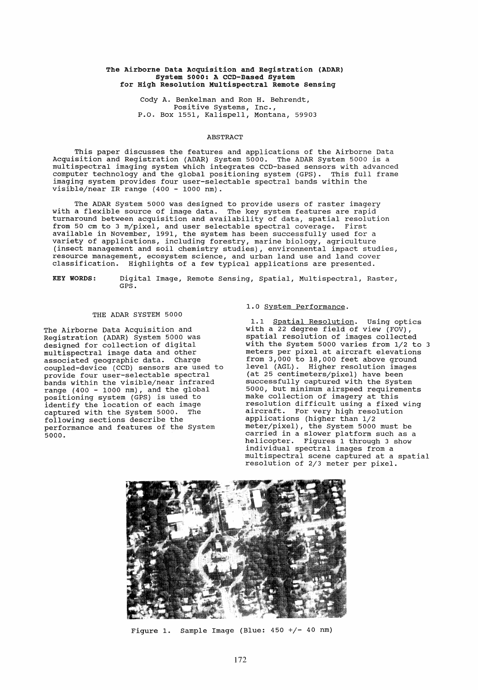## The Airborne Data Acquisition and Registration (ADAR) System 5000: A CCD-Based System for High Resolution MUltispectral Remote sensing

Cody A. Benkelman and Ron H. Behrendt, positive Systems, Inc., P.O. Box 1551, Kalispell, Montana, 59903

# ABSTRACT

This paper discusses the features and applications of the Airborne Data Acquisition and Registration (ADAR) System 5000. The ADAR System 5000 is a multispectral imaging system which integrates CCD-based sensors with advanced computer technology and the global positioning system (GPS). This full frame imaging system provides four user-selectable spectral bands within the visible/near IR range (400 - 1000 nm).

The ADAR System 5000 was designed to provide users of raster imagery with a flexible source of image data. The key system features are rapid turnaround between acquisition and availability of data, spatial resolution from 50 cm to 3 m/pixel, and user selectable spectral coverage. First available in November, 1991, the system has been successfully used for a variety of applications, including forestry, marine biology, agriculture (insect management and soil chemistry studies), environmental impact studies, resource management, ecosystem science, and urban land use and land cover classification. Highlights of a few typical applications are presented.

KEY WORDS: Digital Image, Remote Sensing, Spatial, Multispectral, Raster, GPS.

## THE ADAR SYSTEM 5000

The Airborne Data Acquisition and Registration (ADAR) System 5000 was designed for collection of digital multispectral image data and other associated geographic data. Charge coupled-device (CCD) sensors are used to provide four user-selectable spectral bands within the visible/near infrared range (400 - 1000 nm), and the global positioning system (GPS) is used to identify the location of each image captured with the System 5000. The following sections describe the performance and features of the System 5000.

## 1.0 System Performance.

1.1 Spatial Resolution. Using optics with a 22 degree field of view  $(FOV)$ , spatial resolution of images collected with the System 5000 varies from 1/2 to 3 with the system soco varies from 1/2 co from 3,000 to 18,000 feet above ground level (AGL). Higher resolution images (at 25 centimeters/pixel) have been successfully captured with the System 5000, but minimum airspeed requirements make collection of imagery at this resolution difficult using a fixed wing aircraft. For very high resolution applications (higher than 1/2 meter/pixel), the System 5000 must be model, pincip, the specific soot mase be helicopter. Figures 1 through 3 show individual spectral images from a multispectral scene captured at a spatial resolution of 2/3 meter per pixel.



Figure 1. Sample Image (Blue: 450 +/- 40 nm)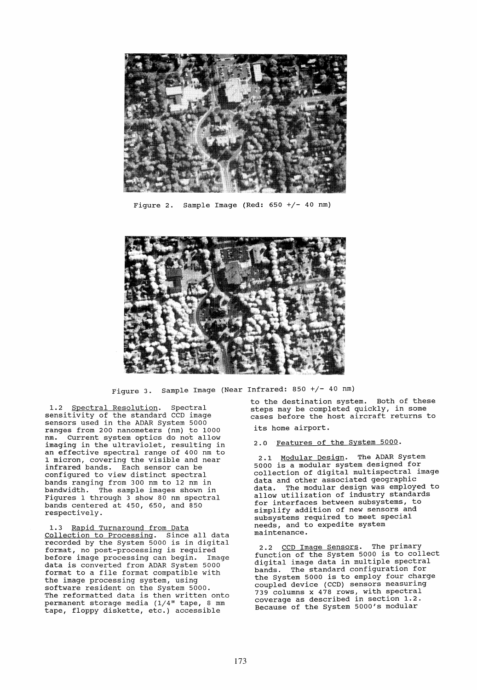

Figure 2. Sample Image (Red:  $650 + / - 40$  nm)



Figure 3. Sample Image (Near Infrared: 850 +/- 40 nm)

1.2 Spectral Resolution. Spectral sensitivity of the standard CCD image sensors used in the ADAR System 5000 ranges from 200 nanometers (nm) to 1000 Current system optics do not allow imaging in the ultraviolet, resulting in an effective spectral range of 400 nm to 1 micron, covering the visible and near infrared bands. Each sensor can be configured to view distinct spectral bands ranging from 300 nm to 12 nm in bandwidth. The sampIe images shown in Figures 1 through 3 show 80 nm spectral bands centered at 450, 650, and 850<br>bands centered at 450, 650, and 850 respectively.

1.3 Rapid Turnaround from Data Collection to Processing. Since all data recorded by the System 5000 is in digital format, no post-processing is required be fore image processing can begin. Image data is converted from ADAR System 5000 format to a file format compatible with the image processing system, using software resident on the System 5000. The reformatted data is then written onto permanent storage media (1/4" tape, 8 mm tape, floppy diskette, etc.) accessible

to the destination system. Both of these steps may be completed quickly, in some cases be fore the host aircraft returns to its home airport.

2.0 Features of the System 5000.

2.1 Modular Design. The ADAR System 5000 is a modular system designed for collection of digital multispectral image data and other associated geographic data. The modular design was employed to allow utilization of industry standards for interfaces between subsystems, to simplify addition of new sensors and subsystems required to meet special needs, and to expedite system maintenance.

2.2 CCD Image Sensors. The primary function of the System 5000 is to collect digital image data in multiple spectral bands. The standard configuration for the System 5000 is to employ four charge coupled device (CCD) sensors measuring 739 columns x 478 rows, with spectral coverage as described in section 1.2. Because of the System 5000's modular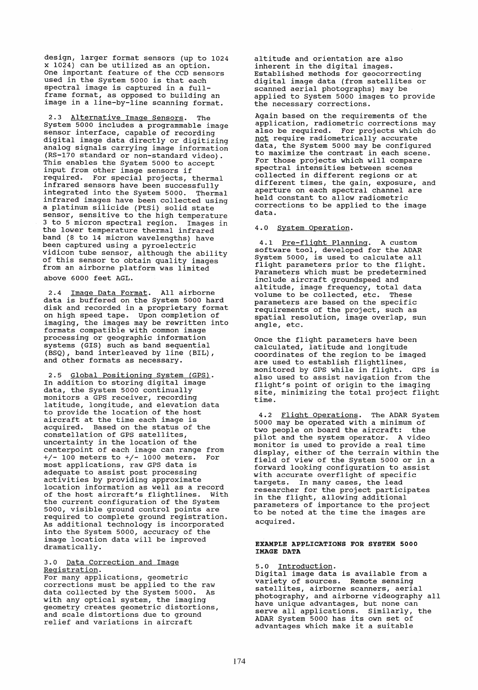design, larger format sensors (up to 1024 x 1024) can be utilized as an option. One important feature of the CCD sensors used in the System 5000 is that each spectral image is captured in a fullframe format, as opposed to building an image in a line-by-line scanning format.

2.3 Alternative Image Sensors. The System 5000 includes a programmable image sensor interface, capable of recording digital image data directly or digitizing analog signals carrying image information (RS-170 standard or non-standard video). This enables the System 5000 to accept input from other image sensors if required. For special projects, thermal infrared sensors have been successfully integrated into the System 5000. Thermal infrared images have been collected using a platinum silicide (Ptsi) solid state sensor, sensitive to the high temperature 3 to 5 micron spectral region. Images in the lower temperature thermal infrared band (8 to 14 micron wavelengths) have been captured using a pyroelectric vidicon tube sensor, although the ability of this sensor to obtain quality images from an airborne platform was limited above 6000 feet AGL.

2.4 <u>Image Data Format</u>. All airborne<br>data is buffered on the System 5000 hard disk and recorded in a proprietary format on high speed tape. Upon completion of imaging, the images may be rewritten into formats compatible with common image processing or geographie information systems (GIS) such as band sequential (BSQ), band interleaved by line (BIL) , and other formats as necessary.

2.5 Global Positioning System (GPS). In addition to storing digital image data, the System 5000 continually monitors a GPS receiver, recording latitude, longitude, and elevation data to provide the location of the host aircraft at the time each image is acquired. Based on the status of the constellation of GPS satellites, uncertainty in the location of the centerpoint of each image can range from *+j-* 100 meters to *+j-* 1000 meters. For where the metal compared is the most applications, raw GPS data is most apprications, law Grs data is<br>adequate to assist post processing activities by providing approximate docation information as well as a record of the host aircraft's flightlines. with the current configuration of the System and carrene configuration of the system to control points are required to complete ground registration. As additional technology is incorporated into the System 5000, accuracy of the image location data will be improved dramatically.

# 3.0 Data Correction and Image Registration.

For many applications, geometric corrections must be applied to the raw data collected by the System 5000. As with any optical system, the imaging geometry creates geometrie distortions, geomeen for distortions due to ground relief and variations in aircraft

altitude and orientation are also inherent in the digital images. Established methods for geocorrecting digital image data (from satellites or scanned aerial photographs) may be applied to system 5000 images to provide the necessary corrections.

Again based on the requirements of the application, radiometrie corrections may also be required. For projects which do not require radiometrically accurate data, the System 5000 may be configured data, the system stoc may be configured<br>to maximize the contrast in each scene. For those projects which will compare spectral intensities between scenes collected in different regions or at different times, the gain, exposure, and aperture on each spectral channel are held constant to allow radiometric corrections to be applied to the image data.

# 4.0 System Operation.

4.1 Pre-flight Planning. A custom software tool, developed for the ADAR System 5000, is used to calculate all flight parameters prior to the flight. Parameters which must be predetermined include aircraft groundspeed and altitude, image frequency, total data volume to be collected, etc. These parameters are based on the specific requirements of the project, such as spatial resolution, image overlap, sun angle, etc.

Once the flight parameters have been calculated, latitude and longitude coordinates of the region to be imaged are used to establish flightlines, monitored by GPS while in flight. GPS is also used to assist navigation from the flight's point of origin to the imaging site, minimizing the total project flight time.

4.2 Flight Operations. The ADAR System 5000 may be operated with a minimum of two people on board the aircraft: the pilot and the system operator. A video prior and the system operator. A video<br>monitor is used to provide a real time display, either of the terrain within the field of view of the System 5000 or in a forward looking configuration to ass ist with accurate overflight of specific targets. In many cases, the lead researcher for the project participates in the flight, allowing additional parameters of importance to the project to be noted at the time the images are acquired.

## EXAMPLE APPLICATIONS FOR SYSTEM 5000 IMAGE DATA

5.0 <u>Introduction</u>.<br>Digital image data is available from a variety of sources. Remote sensing satellites, airborne scanners, aerial photography, and airborne videography all have unique advantages, but none can serve all applications. Similarly, the ADAR System 5000 has its own set of advantages which make it a suitable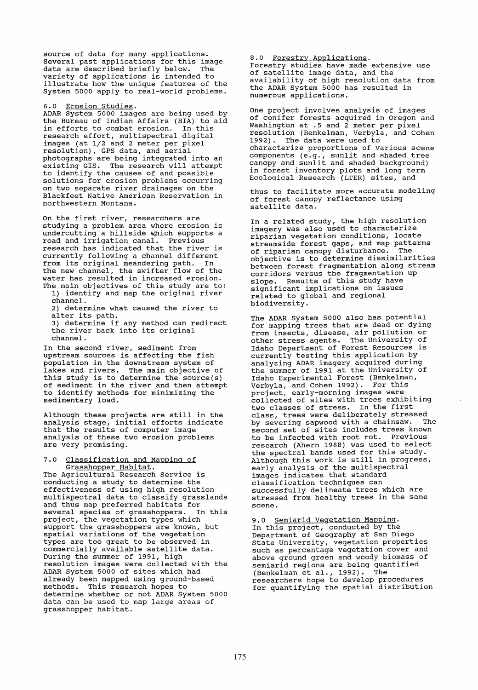source of data for many applications. Several past applications for this image<br>data are described briefly below. The data are described briefly below. variety of applications is intended to illustrate how the unique features of the System 5000 apply to real-world problems.

6.0 Erosion Studies.

ADAR System 5000 images are being used by the Bureau of Indian Affairs (BIA) to aid<br>in efforts to combat erosion. In this in efforts to combat erosion. research effort, multispectral digital images (at 1/2 and 2 meter per pixel resolution), GPS data, and aerial photographs are being integrated into an existing GIS. The research will attempt to identify the causes of and possible solutions for erosion problems occurring on two separate river drainages on the Blackfeet Native American Reservation in northwestern Montana.

On the first river, researchers are studying a problem area where erosion is undercutting a hillside which supports a road and irrigation canai. Previous research has indicated that the river is currently following a channel different from its original meandering path. In the new channel, the swifter flow of the water has resulted in increased erosion. The main objectives of this study are to:

1) identify and map the original river channel.

2) determine what caused the river to alter its path.

aiter its path.<br>3) determine if any method can redirect 5) decembrie it any method can re channel.

In the second river, sediment from upstream sources is affecting the fish population in the downstream system of lakes and rivers. The main objective of this study is to determine the source(s) of sediment in the river and then attempt to identify methods for minimizing the sedimentary load.

Although these projects are still in the analysis stage, initial efforts indicate that the results of computer image analysis of these two erosion problems are very promising.

7.0 Classification and Mapping of Grasshopper Habitat.

The Agricultural Research Service is conducting a study to determine the effectiveness of using high resolution multispectral data to classify grasslands and thus map preferred habitats for<br>several species of grasshoppers. In this several species of grasshoppers. project, the vegetation types which support the grasshoppers are known, but spatial variations of the vegetation types are too great to be observed in commercially available satellite data. During the summer of 1991, high resolution images were collected with the ADAR System 5000 of sites which had already been mapped using ground-based methods. This research hopes to determine whether or not ADAR System 5000 data can be used to map large areas of grasshopper habitat.

8.0 Forestry Applications. Forestry studies have made extensive use<br>of satellite image data, and the availability of high resolution data from the ADAR System 5000 has resulted in numerous applications.

One project involves analysis of images of conifer forests acquired in Oregon and Washington at .5 and 2 meter per pixel resolution (BenkeIman, Verbyla, and Cohen 1992). The data were used to characterize proportions of various scene components (e.g., sunlit and shaded tree canopy and sunlit and shaded background) in forest inventory plots and long term Ecoloqical Research (LTER) sites, and

thus to facilitate more accurate modeling of forest canopy reflectance using satellite data.

In a related study, the high resolution imagery was also used to characterize riparian vegetation conditions, locate streamside forest gaps, and map patterns<br>of riparian canony disturbance. The of riparian canopy disturbance. objective is to determine dissimilarities between forest fragmentation along stream corridors versus the fragmentation up slope. Results of this study have significant implications on issues related to global and regional biodiversity.

The ADAR System 5000 also has potential for mapping trees that are dead or dying from insects, disease, air pollution or other stress agents. The University of Idaho Department of Forest Resources is currently testing this application by analyzing ADAR imagery acquired during the summer of 1991 at the University of Idaho Experimental Forest (BenkeIman, Verbyla, and Cohen 1992). For this project, early-morning images were collected of sites with trees exhibiting two classes of stress. In the first class, trees were deliberately stressed<br>by severing sapyood with a chainsaw. The by severing sapwood with a chainsaw. second set of sites includes trees known<br>to be infected with root rot. Previous to be infected with root rot. research (Ahern 1988) was used to select the spectral bands used for this study. Although this work is still in progress, early analysis of the multispectral images indicates that standard classification techniques can successfully delineate trees which are stressed from healthy trees in the same scene.

9.0 Semiarid vegetation Mapping. In this project, conducted by the Department of Geography at San Diego State University, vegetation properties such as percentage vegetation cover and above ground green and woody biomass of semiarid regions are being quantified (Benkelman et al., 1992). The researchers hope to develop procedures for quantifying the spatial distribution